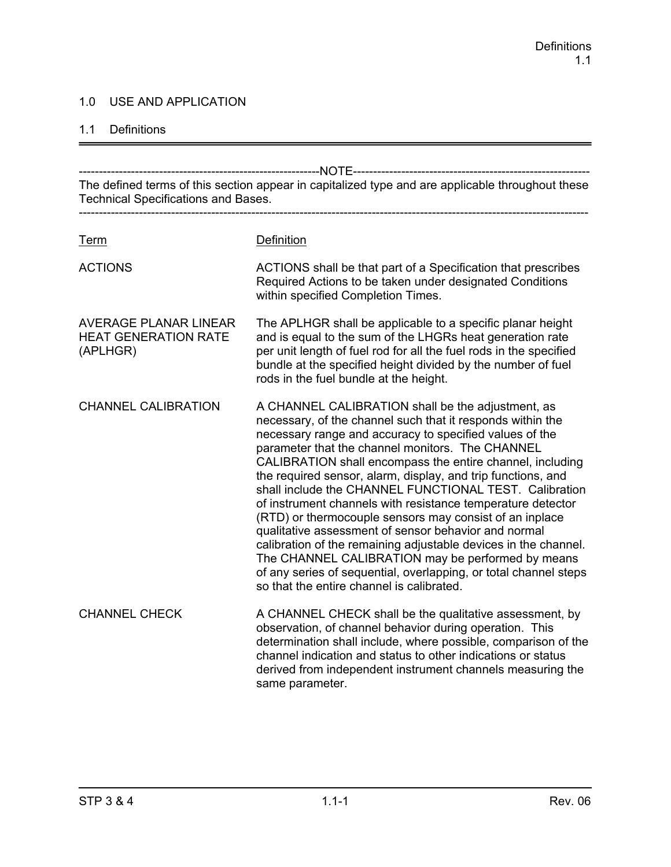#### 1.0 USE AND APPLICATION

#### 1.1 Definitions

------------------------------------------------------------NOTE----------------------------------------------------------- The defined terms of this section appear in capitalized type and are applicable throughout these Technical Specifications and Bases. ------------------------------------------------------------------------------------------------------------------------------- Term Definition ACTIONS ACTIONS shall be that part of a Specification that prescribes Required Actions to be taken under designated Conditions within specified Completion Times. AVERAGE PLANAR LINEAR The APLHGR shall be applicable to a specific planar height HEAT GENERATION RATE and is equal to the sum of the LHGRs heat generation rate (APLHGR) per unit length of fuel rod for all the fuel rods in the specified bundle at the specified height divided by the number of fuel rods in the fuel bundle at the height. CHANNEL CALIBRATION A CHANNEL CALIBRATION shall be the adjustment, as necessary, of the channel such that it responds within the necessary range and accuracy to specified values of the parameter that the channel monitors. The CHANNEL CALIBRATION shall encompass the entire channel, including the required sensor, alarm, display, and trip functions, and shall include the CHANNEL FUNCTIONAL TEST. Calibration of instrument channels with resistance temperature detector (RTD) or thermocouple sensors may consist of an inplace qualitative assessment of sensor behavior and normal calibration of the remaining adjustable devices in the channel. The CHANNEL CALIBRATION may be performed by means of any series of sequential, overlapping, or total channel steps so that the entire channel is calibrated. CHANNEL CHECK A CHANNEL CHECK shall be the qualitative assessment, by observation, of channel behavior during operation. This determination shall include, where possible, comparison of the channel indication and status to other indications or status derived from independent instrument channels measuring the same parameter.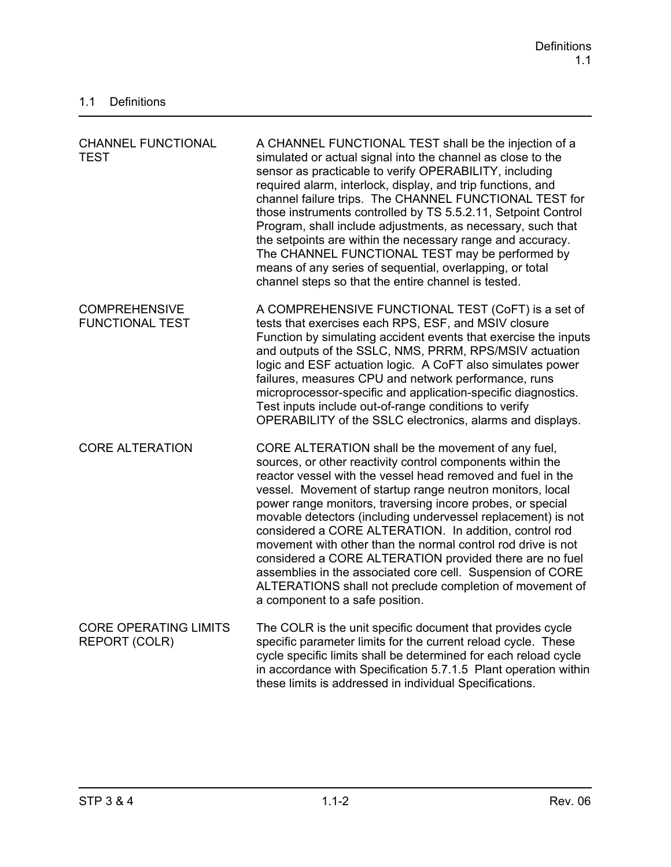| <b>CHANNEL FUNCTIONAL</b><br><b>TEST</b>       | A CHANNEL FUNCTIONAL TEST shall be the injection of a<br>simulated or actual signal into the channel as close to the<br>sensor as practicable to verify OPERABILITY, including<br>required alarm, interlock, display, and trip functions, and<br>channel failure trips. The CHANNEL FUNCTIONAL TEST for<br>those instruments controlled by TS 5.5.2.11, Setpoint Control<br>Program, shall include adjustments, as necessary, such that<br>the setpoints are within the necessary range and accuracy.<br>The CHANNEL FUNCTIONAL TEST may be performed by<br>means of any series of sequential, overlapping, or total<br>channel steps so that the entire channel is tested.                                                  |
|------------------------------------------------|------------------------------------------------------------------------------------------------------------------------------------------------------------------------------------------------------------------------------------------------------------------------------------------------------------------------------------------------------------------------------------------------------------------------------------------------------------------------------------------------------------------------------------------------------------------------------------------------------------------------------------------------------------------------------------------------------------------------------|
| <b>COMPREHENSIVE</b><br><b>FUNCTIONAL TEST</b> | A COMPREHENSIVE FUNCTIONAL TEST (CoFT) is a set of<br>tests that exercises each RPS, ESF, and MSIV closure<br>Function by simulating accident events that exercise the inputs<br>and outputs of the SSLC, NMS, PRRM, RPS/MSIV actuation<br>logic and ESF actuation logic. A CoFT also simulates power<br>failures, measures CPU and network performance, runs<br>microprocessor-specific and application-specific diagnostics.<br>Test inputs include out-of-range conditions to verify<br>OPERABILITY of the SSLC electronics, alarms and displays.                                                                                                                                                                         |
| <b>CORE ALTERATION</b>                         | CORE ALTERATION shall be the movement of any fuel,<br>sources, or other reactivity control components within the<br>reactor vessel with the vessel head removed and fuel in the<br>vessel. Movement of startup range neutron monitors, local<br>power range monitors, traversing incore probes, or special<br>movable detectors (including undervessel replacement) is not<br>considered a CORE ALTERATION. In addition, control rod<br>movement with other than the normal control rod drive is not<br>considered a CORE ALTERATION provided there are no fuel<br>assemblies in the associated core cell. Suspension of CORE<br>ALTERATIONS shall not preclude completion of movement of<br>a component to a safe position. |
| <b>CORE OPERATING LIMITS</b><br>REPORT (COLR)  | The COLR is the unit specific document that provides cycle<br>specific parameter limits for the current reload cycle. These<br>cycle specific limits shall be determined for each reload cycle<br>in accordance with Specification 5.7.1.5 Plant operation within<br>these limits is addressed in individual Specifications.                                                                                                                                                                                                                                                                                                                                                                                                 |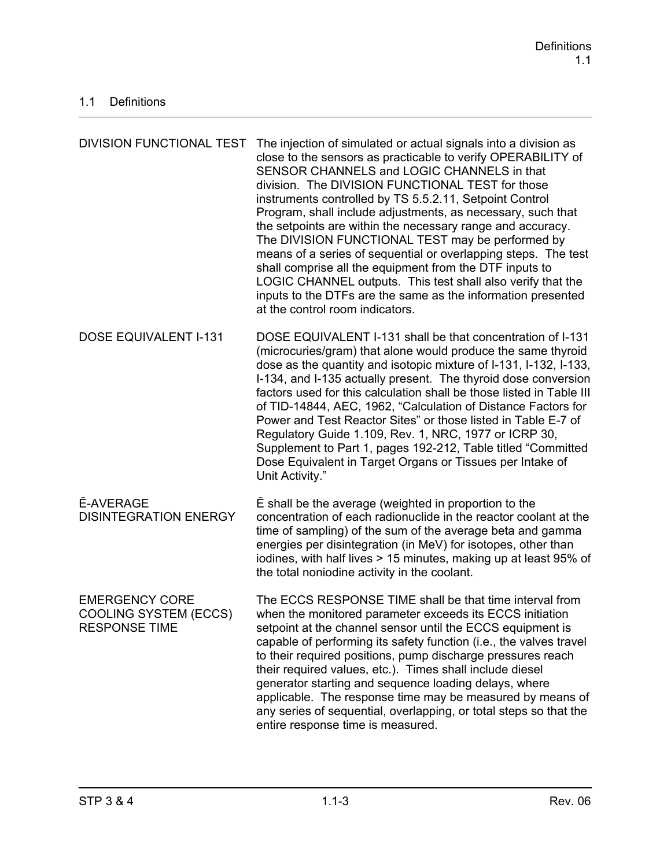| <b>DIVISION FUNCTIONAL TEST</b>                                               | The injection of simulated or actual signals into a division as<br>close to the sensors as practicable to verify OPERABILITY of<br>SENSOR CHANNELS and LOGIC CHANNELS in that<br>division. The DIVISION FUNCTIONAL TEST for those<br>instruments controlled by TS 5.5.2.11, Setpoint Control<br>Program, shall include adjustments, as necessary, such that<br>the setpoints are within the necessary range and accuracy.<br>The DIVISION FUNCTIONAL TEST may be performed by<br>means of a series of sequential or overlapping steps. The test<br>shall comprise all the equipment from the DTF inputs to<br>LOGIC CHANNEL outputs. This test shall also verify that the<br>inputs to the DTFs are the same as the information presented<br>at the control room indicators. |
|-------------------------------------------------------------------------------|------------------------------------------------------------------------------------------------------------------------------------------------------------------------------------------------------------------------------------------------------------------------------------------------------------------------------------------------------------------------------------------------------------------------------------------------------------------------------------------------------------------------------------------------------------------------------------------------------------------------------------------------------------------------------------------------------------------------------------------------------------------------------|
| <b>DOSE EQUIVALENT I-131</b>                                                  | DOSE EQUIVALENT I-131 shall be that concentration of I-131<br>(microcuries/gram) that alone would produce the same thyroid<br>dose as the quantity and isotopic mixture of I-131, I-132, I-133,<br>I-134, and I-135 actually present. The thyroid dose conversion<br>factors used for this calculation shall be those listed in Table III<br>of TID-14844, AEC, 1962, "Calculation of Distance Factors for<br>Power and Test Reactor Sites" or those listed in Table E-7 of<br>Regulatory Guide 1.109, Rev. 1, NRC, 1977 or ICRP 30,<br>Supplement to Part 1, pages 192-212, Table titled "Committed"<br>Dose Equivalent in Target Organs or Tissues per Intake of<br>Unit Activity."                                                                                        |
| <b>E-AVERAGE</b><br><b>DISINTEGRATION ENERGY</b>                              | E shall be the average (weighted in proportion to the<br>concentration of each radionuclide in the reactor coolant at the<br>time of sampling) of the sum of the average beta and gamma<br>energies per disintegration (in MeV) for isotopes, other than<br>iodines, with half lives > 15 minutes, making up at least 95% of<br>the total noniodine activity in the coolant.                                                                                                                                                                                                                                                                                                                                                                                                 |
| <b>EMERGENCY CORE</b><br><b>COOLING SYSTEM (ECCS)</b><br><b>RESPONSE TIME</b> | The ECCS RESPONSE TIME shall be that time interval from<br>when the monitored parameter exceeds its ECCS initiation<br>setpoint at the channel sensor until the ECCS equipment is<br>capable of performing its safety function (i.e., the valves travel<br>to their required positions, pump discharge pressures reach<br>their required values, etc.). Times shall include diesel<br>generator starting and sequence loading delays, where<br>applicable. The response time may be measured by means of<br>any series of sequential, overlapping, or total steps so that the<br>entire response time is measured.                                                                                                                                                           |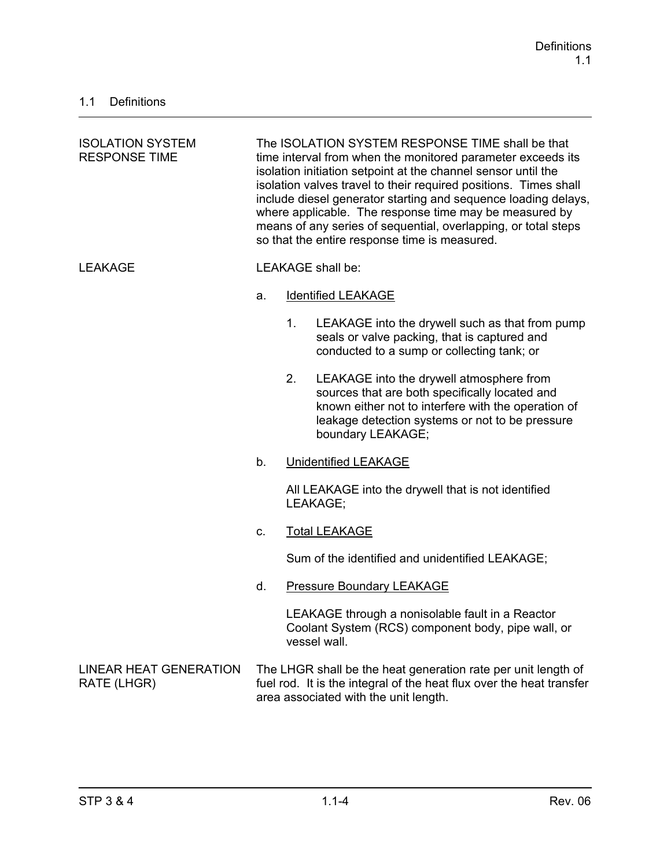| <b>ISOLATION SYSTEM</b><br><b>RESPONSE TIME</b> | The ISOLATION SYSTEM RESPONSE TIME shall be that<br>time interval from when the monitored parameter exceeds its<br>isolation initiation setpoint at the channel sensor until the<br>isolation valves travel to their required positions. Times shall<br>include diesel generator starting and sequence loading delays,<br>where applicable. The response time may be measured by<br>means of any series of sequential, overlapping, or total steps<br>so that the entire response time is measured. |                |                                                                                                                                                                                                                           |
|-------------------------------------------------|-----------------------------------------------------------------------------------------------------------------------------------------------------------------------------------------------------------------------------------------------------------------------------------------------------------------------------------------------------------------------------------------------------------------------------------------------------------------------------------------------------|----------------|---------------------------------------------------------------------------------------------------------------------------------------------------------------------------------------------------------------------------|
| <b>LEAKAGE</b>                                  |                                                                                                                                                                                                                                                                                                                                                                                                                                                                                                     |                | <b>LEAKAGE</b> shall be:                                                                                                                                                                                                  |
|                                                 | a.                                                                                                                                                                                                                                                                                                                                                                                                                                                                                                  |                | <b>Identified LEAKAGE</b>                                                                                                                                                                                                 |
|                                                 |                                                                                                                                                                                                                                                                                                                                                                                                                                                                                                     | 1 <sub>1</sub> | LEAKAGE into the drywell such as that from pump<br>seals or valve packing, that is captured and<br>conducted to a sump or collecting tank; or                                                                             |
|                                                 |                                                                                                                                                                                                                                                                                                                                                                                                                                                                                                     | 2.             | LEAKAGE into the drywell atmosphere from<br>sources that are both specifically located and<br>known either not to interfere with the operation of<br>leakage detection systems or not to be pressure<br>boundary LEAKAGE; |
|                                                 | b.                                                                                                                                                                                                                                                                                                                                                                                                                                                                                                  |                | <b>Unidentified LEAKAGE</b>                                                                                                                                                                                               |
|                                                 |                                                                                                                                                                                                                                                                                                                                                                                                                                                                                                     |                | All LEAKAGE into the drywell that is not identified<br>LEAKAGE;                                                                                                                                                           |
|                                                 | C.                                                                                                                                                                                                                                                                                                                                                                                                                                                                                                  |                | <b>Total LEAKAGE</b>                                                                                                                                                                                                      |
|                                                 |                                                                                                                                                                                                                                                                                                                                                                                                                                                                                                     |                | Sum of the identified and unidentified LEAKAGE;                                                                                                                                                                           |
|                                                 | d.                                                                                                                                                                                                                                                                                                                                                                                                                                                                                                  |                | <b>Pressure Boundary LEAKAGE</b>                                                                                                                                                                                          |
|                                                 |                                                                                                                                                                                                                                                                                                                                                                                                                                                                                                     |                | LEAKAGE through a nonisolable fault in a Reactor<br>Coolant System (RCS) component body, pipe wall, or<br>vessel wall.                                                                                                    |
| <b>LINEAR HEAT GENERATION</b><br>RATE (LHGR)    |                                                                                                                                                                                                                                                                                                                                                                                                                                                                                                     |                | The LHGR shall be the heat generation rate per unit length of<br>fuel rod. It is the integral of the heat flux over the heat transfer<br>area associated with the unit length.                                            |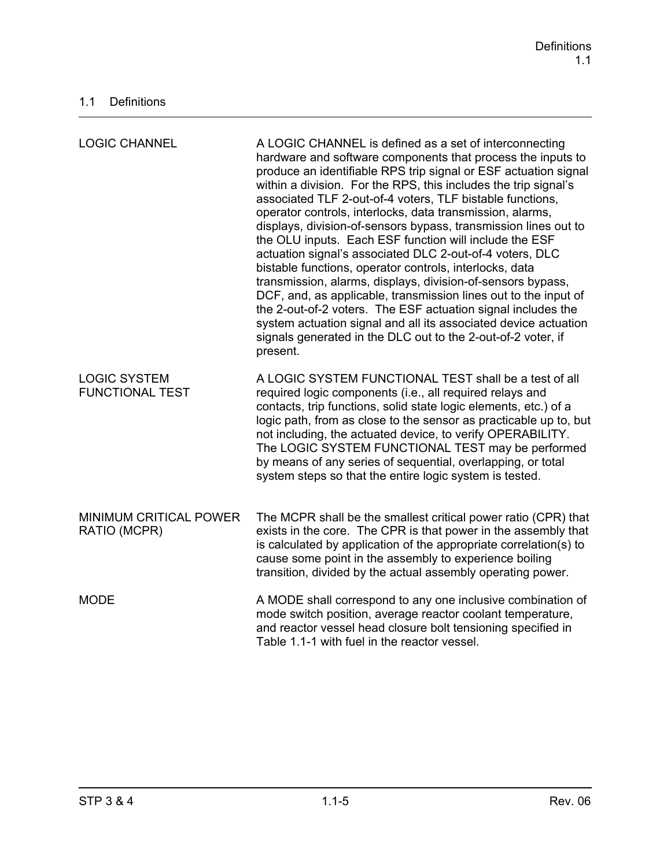| <b>LOGIC CHANNEL</b>                          | A LOGIC CHANNEL is defined as a set of interconnecting<br>hardware and software components that process the inputs to<br>produce an identifiable RPS trip signal or ESF actuation signal<br>within a division. For the RPS, this includes the trip signal's<br>associated TLF 2-out-of-4 voters, TLF bistable functions,<br>operator controls, interlocks, data transmission, alarms,<br>displays, division-of-sensors bypass, transmission lines out to<br>the OLU inputs. Each ESF function will include the ESF<br>actuation signal's associated DLC 2-out-of-4 voters, DLC<br>bistable functions, operator controls, interlocks, data<br>transmission, alarms, displays, division-of-sensors bypass,<br>DCF, and, as applicable, transmission lines out to the input of<br>the 2-out-of-2 voters. The ESF actuation signal includes the<br>system actuation signal and all its associated device actuation<br>signals generated in the DLC out to the 2-out-of-2 voter, if<br>present. |
|-----------------------------------------------|--------------------------------------------------------------------------------------------------------------------------------------------------------------------------------------------------------------------------------------------------------------------------------------------------------------------------------------------------------------------------------------------------------------------------------------------------------------------------------------------------------------------------------------------------------------------------------------------------------------------------------------------------------------------------------------------------------------------------------------------------------------------------------------------------------------------------------------------------------------------------------------------------------------------------------------------------------------------------------------------|
| <b>LOGIC SYSTEM</b><br><b>FUNCTIONAL TEST</b> | A LOGIC SYSTEM FUNCTIONAL TEST shall be a test of all<br>required logic components (i.e., all required relays and<br>contacts, trip functions, solid state logic elements, etc.) of a<br>logic path, from as close to the sensor as practicable up to, but<br>not including, the actuated device, to verify OPERABILITY.<br>The LOGIC SYSTEM FUNCTIONAL TEST may be performed<br>by means of any series of sequential, overlapping, or total<br>system steps so that the entire logic system is tested.                                                                                                                                                                                                                                                                                                                                                                                                                                                                                    |
| MINIMUM CRITICAL POWER<br>RATIO (MCPR)        | The MCPR shall be the smallest critical power ratio (CPR) that<br>exists in the core. The CPR is that power in the assembly that<br>is calculated by application of the appropriate correlation(s) to<br>cause some point in the assembly to experience boiling<br>transition, divided by the actual assembly operating power.                                                                                                                                                                                                                                                                                                                                                                                                                                                                                                                                                                                                                                                             |
| <b>MODE</b>                                   | A MODE shall correspond to any one inclusive combination of<br>mode switch position, average reactor coolant temperature,<br>and reactor vessel head closure bolt tensioning specified in<br>Table 1.1-1 with fuel in the reactor vessel.                                                                                                                                                                                                                                                                                                                                                                                                                                                                                                                                                                                                                                                                                                                                                  |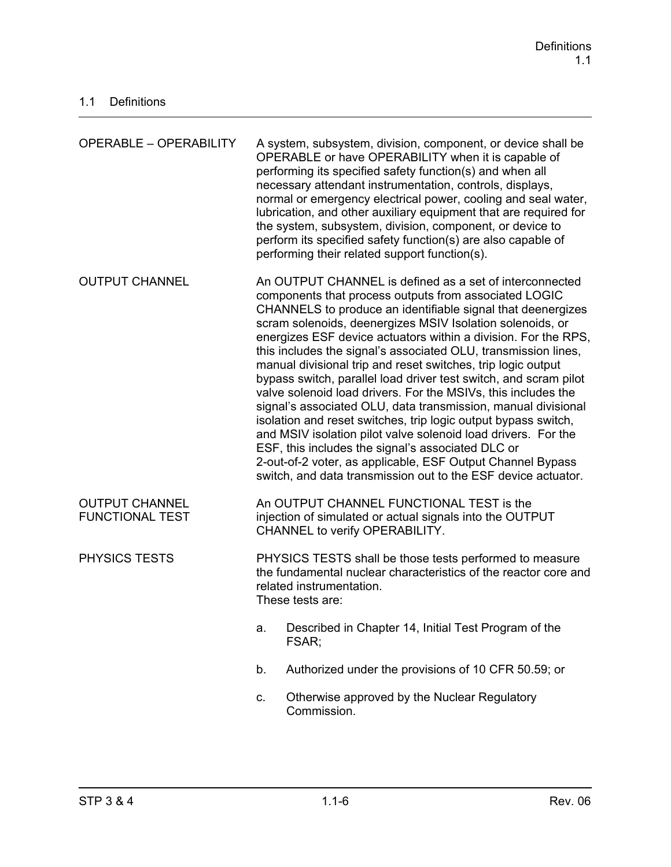| <b>OPERABLE - OPERABILITY</b>                   |                                                                                                                                                                                                                                                                                                                                                                                                                                                                                                                                                                                                                                                                                                                                                                                                                                                                                                                                                                               | A system, subsystem, division, component, or device shall be<br>OPERABLE or have OPERABILITY when it is capable of<br>performing its specified safety function(s) and when all<br>necessary attendant instrumentation, controls, displays,<br>normal or emergency electrical power, cooling and seal water,<br>lubrication, and other auxiliary equipment that are required for<br>the system, subsystem, division, component, or device to<br>perform its specified safety function(s) are also capable of<br>performing their related support function(s). |  |
|-------------------------------------------------|-------------------------------------------------------------------------------------------------------------------------------------------------------------------------------------------------------------------------------------------------------------------------------------------------------------------------------------------------------------------------------------------------------------------------------------------------------------------------------------------------------------------------------------------------------------------------------------------------------------------------------------------------------------------------------------------------------------------------------------------------------------------------------------------------------------------------------------------------------------------------------------------------------------------------------------------------------------------------------|--------------------------------------------------------------------------------------------------------------------------------------------------------------------------------------------------------------------------------------------------------------------------------------------------------------------------------------------------------------------------------------------------------------------------------------------------------------------------------------------------------------------------------------------------------------|--|
| <b>OUTPUT CHANNEL</b>                           | An OUTPUT CHANNEL is defined as a set of interconnected<br>components that process outputs from associated LOGIC<br>CHANNELS to produce an identifiable signal that deenergizes<br>scram solenoids, deenergizes MSIV Isolation solenoids, or<br>energizes ESF device actuators within a division. For the RPS,<br>this includes the signal's associated OLU, transmission lines,<br>manual divisional trip and reset switches, trip logic output<br>bypass switch, parallel load driver test switch, and scram pilot<br>valve solenoid load drivers. For the MSIVs, this includes the<br>signal's associated OLU, data transmission, manual divisional<br>isolation and reset switches, trip logic output bypass switch,<br>and MSIV isolation pilot valve solenoid load drivers. For the<br>ESF, this includes the signal's associated DLC or<br>2-out-of-2 voter, as applicable, ESF Output Channel Bypass<br>switch, and data transmission out to the ESF device actuator. |                                                                                                                                                                                                                                                                                                                                                                                                                                                                                                                                                              |  |
| <b>OUTPUT CHANNEL</b><br><b>FUNCTIONAL TEST</b> | An OUTPUT CHANNEL FUNCTIONAL TEST is the<br>injection of simulated or actual signals into the OUTPUT<br>CHANNEL to verify OPERABILITY.                                                                                                                                                                                                                                                                                                                                                                                                                                                                                                                                                                                                                                                                                                                                                                                                                                        |                                                                                                                                                                                                                                                                                                                                                                                                                                                                                                                                                              |  |
| <b>PHYSICS TESTS</b>                            | PHYSICS TESTS shall be those tests performed to measure<br>the fundamental nuclear characteristics of the reactor core and<br>related instrumentation.<br>These tests are:                                                                                                                                                                                                                                                                                                                                                                                                                                                                                                                                                                                                                                                                                                                                                                                                    |                                                                                                                                                                                                                                                                                                                                                                                                                                                                                                                                                              |  |
|                                                 | a.                                                                                                                                                                                                                                                                                                                                                                                                                                                                                                                                                                                                                                                                                                                                                                                                                                                                                                                                                                            | Described in Chapter 14, Initial Test Program of the<br>FSAR;                                                                                                                                                                                                                                                                                                                                                                                                                                                                                                |  |
|                                                 | b.                                                                                                                                                                                                                                                                                                                                                                                                                                                                                                                                                                                                                                                                                                                                                                                                                                                                                                                                                                            | Authorized under the provisions of 10 CFR 50.59; or                                                                                                                                                                                                                                                                                                                                                                                                                                                                                                          |  |
|                                                 | C.                                                                                                                                                                                                                                                                                                                                                                                                                                                                                                                                                                                                                                                                                                                                                                                                                                                                                                                                                                            | Otherwise approved by the Nuclear Regulatory<br>Commission.                                                                                                                                                                                                                                                                                                                                                                                                                                                                                                  |  |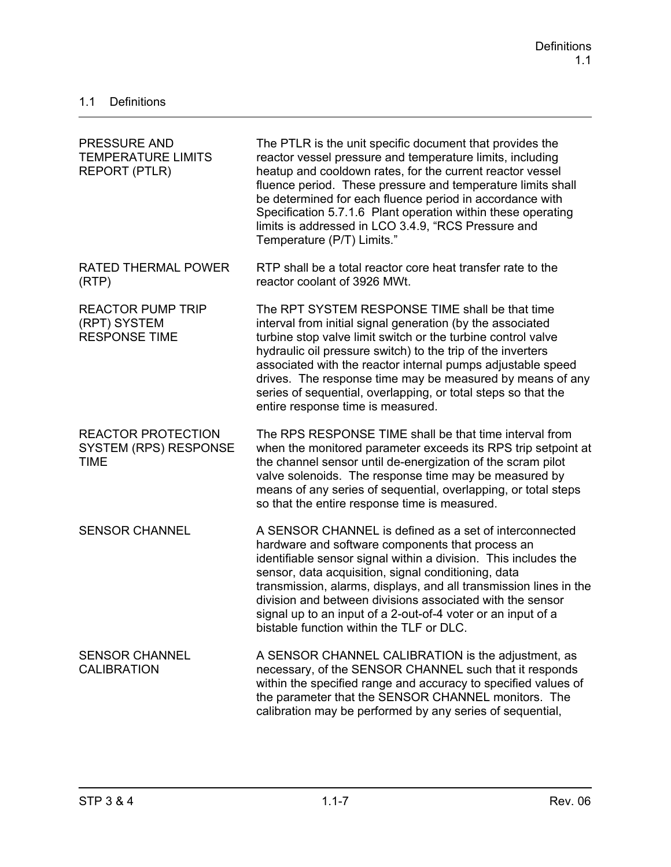| <b>PRESSURE AND</b><br><b>TEMPERATURE LIMITS</b><br><b>REPORT (PTLR)</b> | The PTLR is the unit specific document that provides the<br>reactor vessel pressure and temperature limits, including<br>heatup and cooldown rates, for the current reactor vessel<br>fluence period. These pressure and temperature limits shall<br>be determined for each fluence period in accordance with<br>Specification 5.7.1.6 Plant operation within these operating<br>limits is addressed in LCO 3.4.9, "RCS Pressure and<br>Temperature (P/T) Limits."                 |
|--------------------------------------------------------------------------|------------------------------------------------------------------------------------------------------------------------------------------------------------------------------------------------------------------------------------------------------------------------------------------------------------------------------------------------------------------------------------------------------------------------------------------------------------------------------------|
| <b>RATED THERMAL POWER</b><br>(RTP)                                      | RTP shall be a total reactor core heat transfer rate to the<br>reactor coolant of 3926 MWt.                                                                                                                                                                                                                                                                                                                                                                                        |
| <b>REACTOR PUMP TRIP</b><br>(RPT) SYSTEM<br><b>RESPONSE TIME</b>         | The RPT SYSTEM RESPONSE TIME shall be that time<br>interval from initial signal generation (by the associated<br>turbine stop valve limit switch or the turbine control valve<br>hydraulic oil pressure switch) to the trip of the inverters<br>associated with the reactor internal pumps adjustable speed<br>drives. The response time may be measured by means of any<br>series of sequential, overlapping, or total steps so that the<br>entire response time is measured.     |
| <b>REACTOR PROTECTION</b><br><b>SYSTEM (RPS) RESPONSE</b><br><b>TIME</b> | The RPS RESPONSE TIME shall be that time interval from<br>when the monitored parameter exceeds its RPS trip setpoint at<br>the channel sensor until de-energization of the scram pilot<br>valve solenoids. The response time may be measured by<br>means of any series of sequential, overlapping, or total steps<br>so that the entire response time is measured.                                                                                                                 |
| <b>SENSOR CHANNEL</b>                                                    | A SENSOR CHANNEL is defined as a set of interconnected<br>hardware and software components that process an<br>identifiable sensor signal within a division. This includes the<br>sensor, data acquisition, signal conditioning, data<br>transmission, alarms, displays, and all transmission lines in the<br>division and between divisions associated with the sensor<br>signal up to an input of a 2-out-of-4 voter or an input of a<br>bistable function within the TLF or DLC. |
| <b>SENSOR CHANNEL</b><br><b>CALIBRATION</b>                              | A SENSOR CHANNEL CALIBRATION is the adjustment, as<br>necessary, of the SENSOR CHANNEL such that it responds<br>within the specified range and accuracy to specified values of<br>the parameter that the SENSOR CHANNEL monitors. The<br>calibration may be performed by any series of sequential,                                                                                                                                                                                 |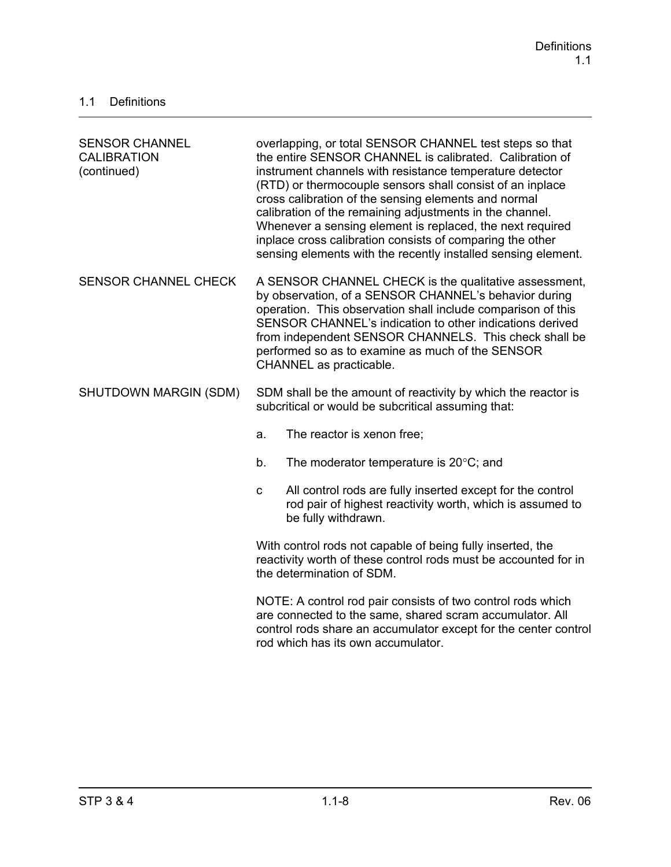| <b>SENSOR CHANNEL</b><br><b>CALIBRATION</b><br>(continued) | overlapping, or total SENSOR CHANNEL test steps so that<br>the entire SENSOR CHANNEL is calibrated. Calibration of<br>instrument channels with resistance temperature detector<br>(RTD) or thermocouple sensors shall consist of an inplace<br>cross calibration of the sensing elements and normal<br>calibration of the remaining adjustments in the channel.<br>Whenever a sensing element is replaced, the next required<br>inplace cross calibration consists of comparing the other<br>sensing elements with the recently installed sensing element. |  |
|------------------------------------------------------------|------------------------------------------------------------------------------------------------------------------------------------------------------------------------------------------------------------------------------------------------------------------------------------------------------------------------------------------------------------------------------------------------------------------------------------------------------------------------------------------------------------------------------------------------------------|--|
| <b>SENSOR CHANNEL CHECK</b>                                | A SENSOR CHANNEL CHECK is the qualitative assessment,<br>by observation, of a SENSOR CHANNEL's behavior during<br>operation. This observation shall include comparison of this<br>SENSOR CHANNEL's indication to other indications derived<br>from independent SENSOR CHANNELS. This check shall be<br>performed so as to examine as much of the SENSOR<br>CHANNEL as practicable.                                                                                                                                                                         |  |
| SHUTDOWN MARGIN (SDM)                                      | SDM shall be the amount of reactivity by which the reactor is<br>subcritical or would be subcritical assuming that:                                                                                                                                                                                                                                                                                                                                                                                                                                        |  |
|                                                            | The reactor is xenon free;<br>a.                                                                                                                                                                                                                                                                                                                                                                                                                                                                                                                           |  |
|                                                            | The moderator temperature is $20^{\circ}$ C; and<br>b.                                                                                                                                                                                                                                                                                                                                                                                                                                                                                                     |  |
|                                                            | All control rods are fully inserted except for the control<br>$\mathbf C$<br>rod pair of highest reactivity worth, which is assumed to<br>be fully withdrawn.                                                                                                                                                                                                                                                                                                                                                                                              |  |
|                                                            | With control rods not capable of being fully inserted, the<br>reactivity worth of these control rods must be accounted for in<br>the determination of SDM.                                                                                                                                                                                                                                                                                                                                                                                                 |  |
|                                                            | NOTE: A control rod pair consists of two control rods which<br>are connected to the same, shared scram accumulator. All<br>control rods share an accumulator except for the center control<br>rod which has its own accumulator.                                                                                                                                                                                                                                                                                                                           |  |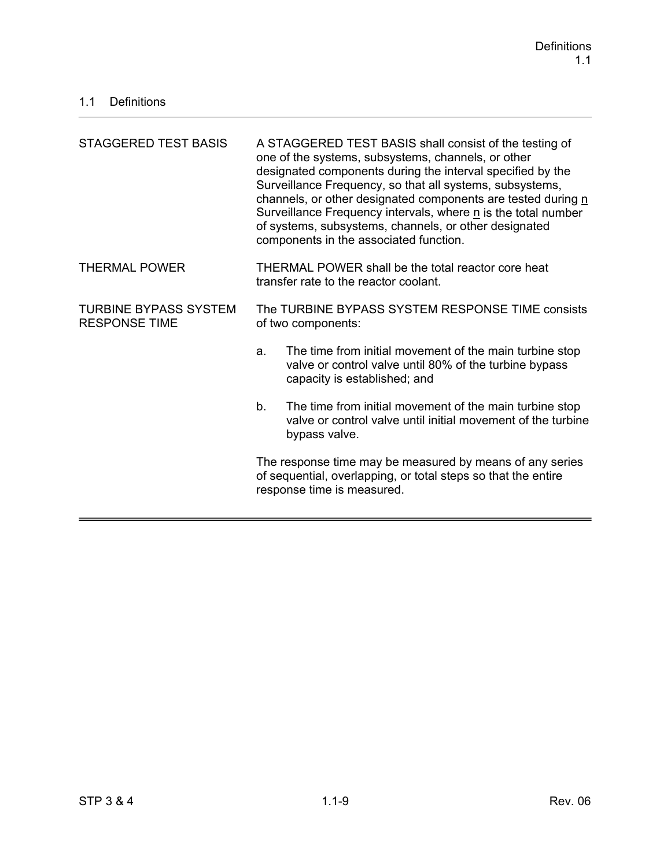| <b>STAGGERED TEST BASIS</b>                          | A STAGGERED TEST BASIS shall consist of the testing of<br>one of the systems, subsystems, channels, or other<br>designated components during the interval specified by the<br>Surveillance Frequency, so that all systems, subsystems,<br>channels, or other designated components are tested during n<br>Surveillance Frequency intervals, where n is the total number<br>of systems, subsystems, channels, or other designated<br>components in the associated function. |  |
|------------------------------------------------------|----------------------------------------------------------------------------------------------------------------------------------------------------------------------------------------------------------------------------------------------------------------------------------------------------------------------------------------------------------------------------------------------------------------------------------------------------------------------------|--|
| <b>THERMAL POWER</b>                                 | THERMAL POWER shall be the total reactor core heat<br>transfer rate to the reactor coolant.                                                                                                                                                                                                                                                                                                                                                                                |  |
| <b>TURBINE BYPASS SYSTEM</b><br><b>RESPONSE TIME</b> | The TURBINE BYPASS SYSTEM RESPONSE TIME consists<br>of two components:                                                                                                                                                                                                                                                                                                                                                                                                     |  |
|                                                      | The time from initial movement of the main turbine stop<br>a.<br>valve or control valve until 80% of the turbine bypass<br>capacity is established; and                                                                                                                                                                                                                                                                                                                    |  |
|                                                      | b.<br>The time from initial movement of the main turbine stop<br>valve or control valve until initial movement of the turbine<br>bypass valve.                                                                                                                                                                                                                                                                                                                             |  |
|                                                      | The response time may be measured by means of any series<br>of sequential, overlapping, or total steps so that the entire<br>response time is measured.                                                                                                                                                                                                                                                                                                                    |  |
|                                                      |                                                                                                                                                                                                                                                                                                                                                                                                                                                                            |  |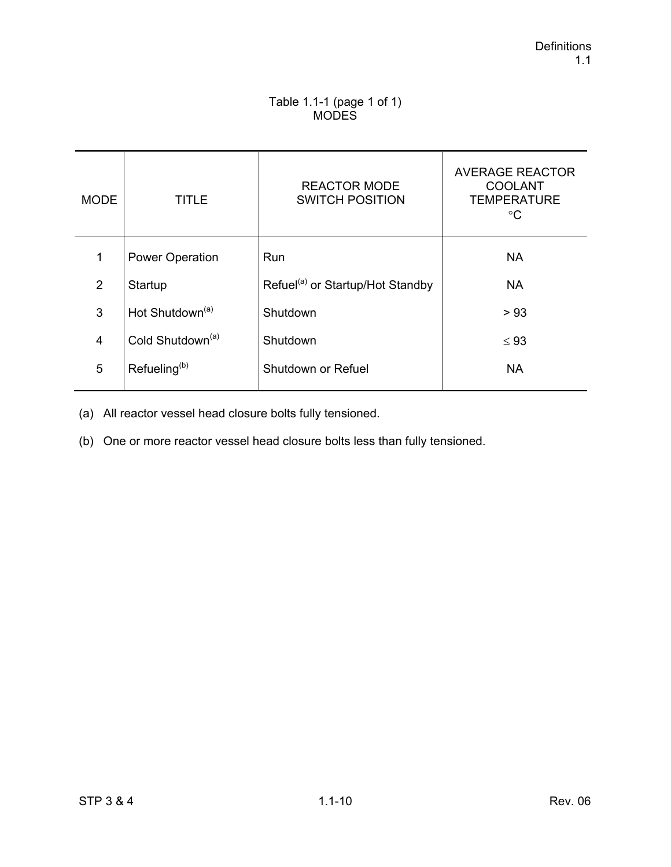#### Table 1.1-1 (page 1 of 1) MODES

| <b>MODE</b>    | TITLE                        | <b>REACTOR MODE</b><br><b>SWITCH POSITION</b> | <b>AVERAGE REACTOR</b><br><b>COOLANT</b><br><b>TEMPERATURE</b><br>°C |
|----------------|------------------------------|-----------------------------------------------|----------------------------------------------------------------------|
| 1              | <b>Power Operation</b>       | Run                                           | <b>NA</b>                                                            |
| 2              | Startup                      | Refuel <sup>(a)</sup> or Startup/Hot Standby  | <b>NA</b>                                                            |
| 3              | Hot Shutdown <sup>(a)</sup>  | Shutdown                                      | > 93                                                                 |
| $\overline{4}$ | Cold Shutdown <sup>(a)</sup> | Shutdown                                      | $\leq 93$                                                            |
| 5              | Refueling <sup>(b)</sup>     | Shutdown or Refuel                            | <b>NA</b>                                                            |

(a) All reactor vessel head closure bolts fully tensioned.

(b) One or more reactor vessel head closure bolts less than fully tensioned.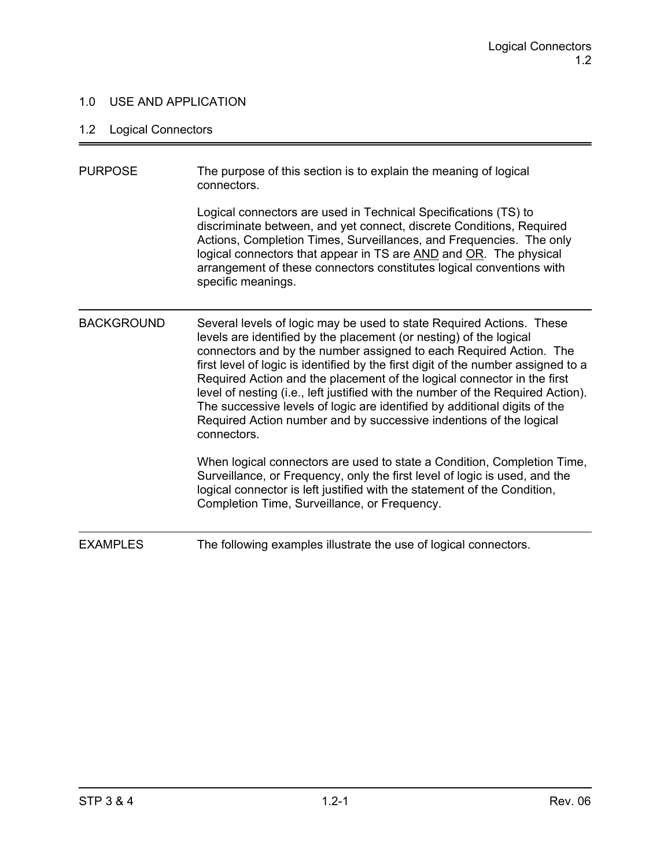### 1.0 USE AND APPLICATION

### 1.2 Logical Connectors

| <b>PURPOSE</b>    | The purpose of this section is to explain the meaning of logical<br>connectors.                                                                                                                                                                                                                                                                                                                                                                                                                                                                                                                                                       |
|-------------------|---------------------------------------------------------------------------------------------------------------------------------------------------------------------------------------------------------------------------------------------------------------------------------------------------------------------------------------------------------------------------------------------------------------------------------------------------------------------------------------------------------------------------------------------------------------------------------------------------------------------------------------|
|                   | Logical connectors are used in Technical Specifications (TS) to<br>discriminate between, and yet connect, discrete Conditions, Required<br>Actions, Completion Times, Surveillances, and Frequencies. The only<br>logical connectors that appear in TS are AND and OR. The physical<br>arrangement of these connectors constitutes logical conventions with<br>specific meanings.                                                                                                                                                                                                                                                     |
| <b>BACKGROUND</b> | Several levels of logic may be used to state Required Actions. These<br>levels are identified by the placement (or nesting) of the logical<br>connectors and by the number assigned to each Required Action. The<br>first level of logic is identified by the first digit of the number assigned to a<br>Required Action and the placement of the logical connector in the first<br>level of nesting (i.e., left justified with the number of the Required Action).<br>The successive levels of logic are identified by additional digits of the<br>Required Action number and by successive indentions of the logical<br>connectors. |
|                   | When logical connectors are used to state a Condition, Completion Time,<br>Surveillance, or Frequency, only the first level of logic is used, and the<br>logical connector is left justified with the statement of the Condition,<br>Completion Time, Surveillance, or Frequency.                                                                                                                                                                                                                                                                                                                                                     |
| <b>EXAMPLES</b>   | The following examples illustrate the use of logical connectors.                                                                                                                                                                                                                                                                                                                                                                                                                                                                                                                                                                      |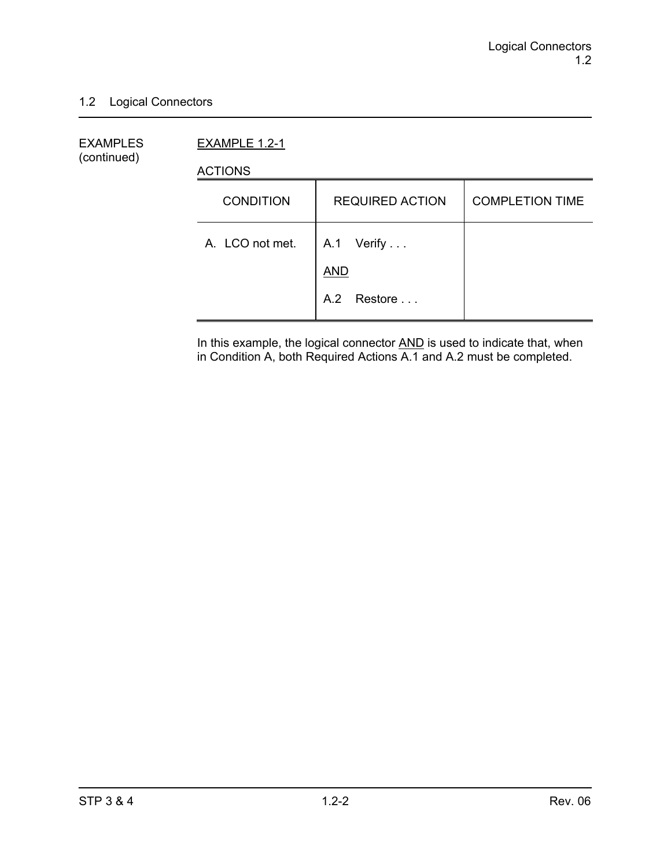#### 1.2 Logical Connectors

EXAMPLES EXAMPLE 1.2-1 (continued)

ACTIONS

| <b>CONDITION</b> | <b>REQUIRED ACTION</b>   | <b>COMPLETION TIME</b> |
|------------------|--------------------------|------------------------|
| A. LCO not met.  | A.1 Verify<br><b>AND</b> |                        |
|                  | A.2 Restore              |                        |

In this example, the logical connector **AND** is used to indicate that, when in Condition A, both Required Actions A.1 and A.2 must be completed.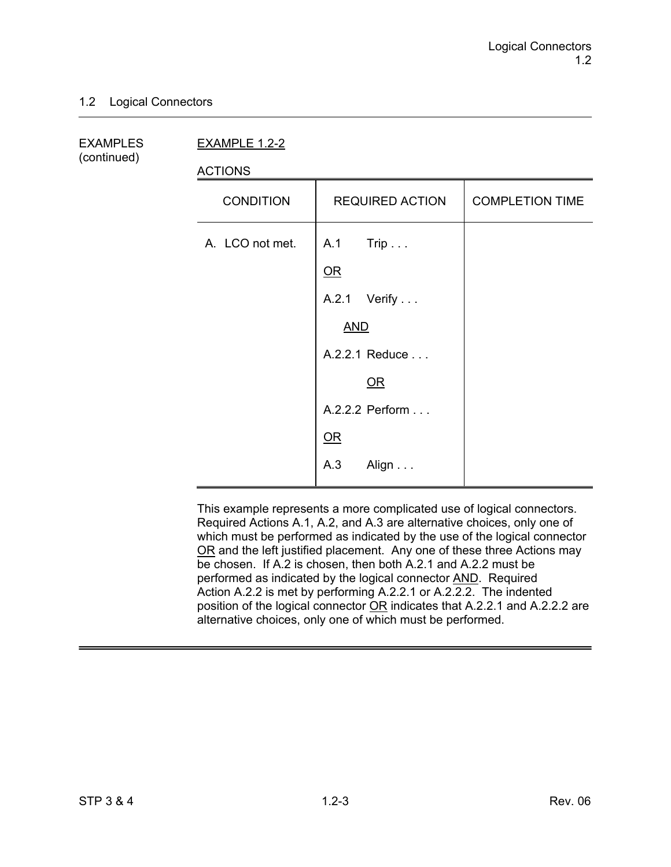#### 1.2 Logical Connectors

(continued)

EXAMPLES EXAMPLE 1.2-2

ACTIONS

| <b>CONDITION</b> | <b>REQUIRED ACTION</b> | <b>COMPLETION TIME</b> |
|------------------|------------------------|------------------------|
| A. LCO not met.  | $A.1$ Trip             |                        |
|                  | $OR$                   |                        |
|                  | A.2.1 Verify           |                        |
|                  | <b>AND</b>             |                        |
|                  | A.2.2.1 Reduce         |                        |
|                  | $OR$                   |                        |
|                  | A.2.2.2 Perform        |                        |
|                  | QR                     |                        |
|                  | A.3<br>Align           |                        |

This example represents a more complicated use of logical connectors. Required Actions A.1, A.2, and A.3 are alternative choices, only one of which must be performed as indicated by the use of the logical connector OR and the left justified placement. Any one of these three Actions may be chosen. If A.2 is chosen, then both A.2.1 and A.2.2 must be performed as indicated by the logical connector AND. Required Action A.2.2 is met by performing A.2.2.1 or A.2.2.2. The indented position of the logical connector OR indicates that A.2.2.1 and A.2.2.2 are alternative choices, only one of which must be performed.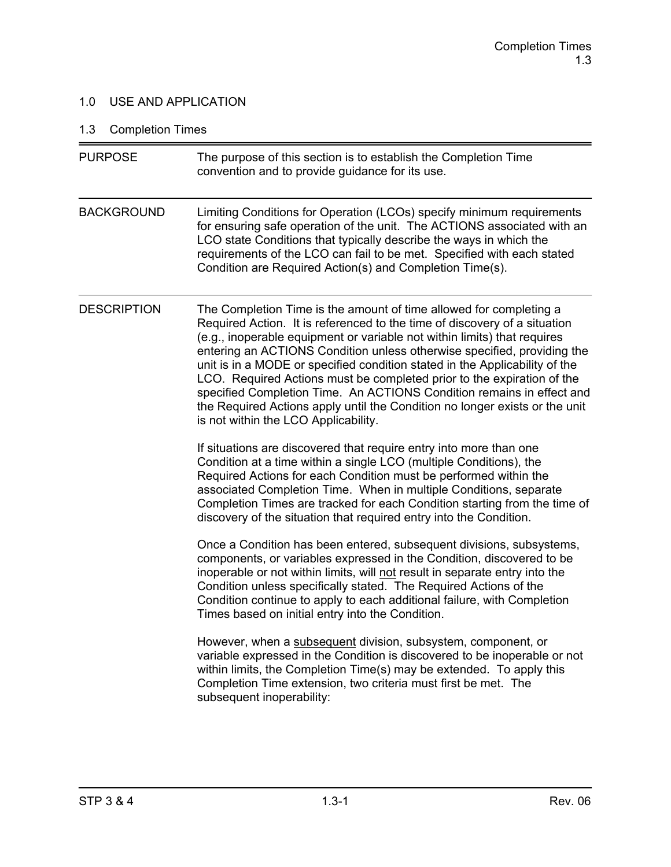### 1.0 USE AND APPLICATION

## 1.3 Completion Times

| <b>PURPOSE</b>     | The purpose of this section is to establish the Completion Time<br>convention and to provide guidance for its use.                                                                                                                                                                                                                                                                                                                                                                                                                                                                                                                                              |
|--------------------|-----------------------------------------------------------------------------------------------------------------------------------------------------------------------------------------------------------------------------------------------------------------------------------------------------------------------------------------------------------------------------------------------------------------------------------------------------------------------------------------------------------------------------------------------------------------------------------------------------------------------------------------------------------------|
| <b>BACKGROUND</b>  | Limiting Conditions for Operation (LCOs) specify minimum requirements<br>for ensuring safe operation of the unit. The ACTIONS associated with an<br>LCO state Conditions that typically describe the ways in which the<br>requirements of the LCO can fail to be met. Specified with each stated<br>Condition are Required Action(s) and Completion Time(s).                                                                                                                                                                                                                                                                                                    |
| <b>DESCRIPTION</b> | The Completion Time is the amount of time allowed for completing a<br>Required Action. It is referenced to the time of discovery of a situation<br>(e.g., inoperable equipment or variable not within limits) that requires<br>entering an ACTIONS Condition unless otherwise specified, providing the<br>unit is in a MODE or specified condition stated in the Applicability of the<br>LCO. Required Actions must be completed prior to the expiration of the<br>specified Completion Time. An ACTIONS Condition remains in effect and<br>the Required Actions apply until the Condition no longer exists or the unit<br>is not within the LCO Applicability. |
|                    | If situations are discovered that require entry into more than one<br>Condition at a time within a single LCO (multiple Conditions), the<br>Required Actions for each Condition must be performed within the<br>associated Completion Time. When in multiple Conditions, separate<br>Completion Times are tracked for each Condition starting from the time of<br>discovery of the situation that required entry into the Condition.                                                                                                                                                                                                                            |
|                    | Once a Condition has been entered, subsequent divisions, subsystems,<br>components, or variables expressed in the Condition, discovered to be<br>inoperable or not within limits, will not result in separate entry into the<br>Condition unless specifically stated. The Required Actions of the<br>Condition continue to apply to each additional failure, with Completion<br>Times based on initial entry into the Condition.                                                                                                                                                                                                                                |
|                    | However, when a subsequent division, subsystem, component, or<br>variable expressed in the Condition is discovered to be inoperable or not<br>within limits, the Completion Time(s) may be extended. To apply this<br>Completion Time extension, two criteria must first be met. The<br>subsequent inoperability:                                                                                                                                                                                                                                                                                                                                               |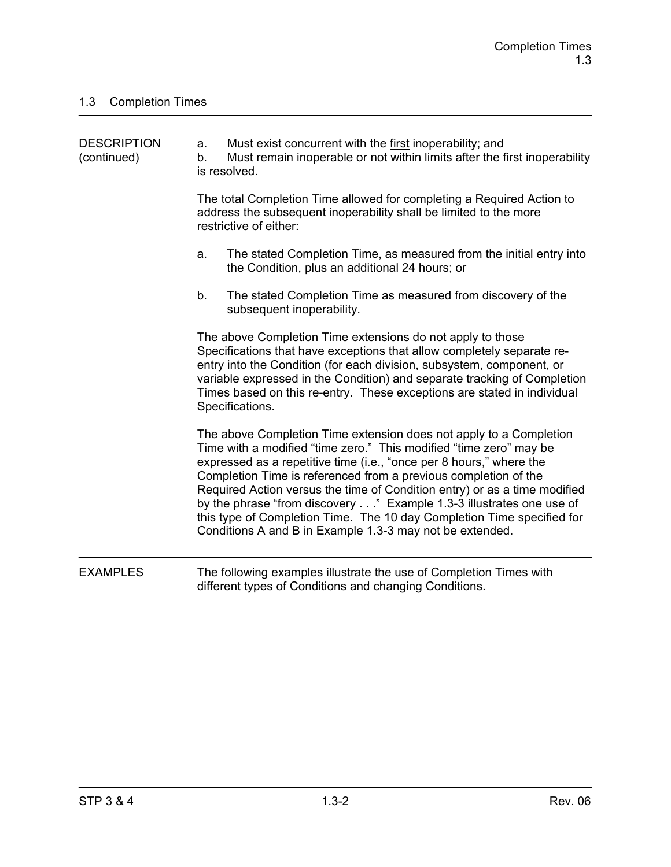| <b>DESCRIPTION</b><br>(continued) | a.<br>b. | Must exist concurrent with the first inoperability; and<br>Must remain inoperable or not within limits after the first inoperability<br>is resolved.                                                                                                                                                                                                                                                                                                                                                                                                                         |
|-----------------------------------|----------|------------------------------------------------------------------------------------------------------------------------------------------------------------------------------------------------------------------------------------------------------------------------------------------------------------------------------------------------------------------------------------------------------------------------------------------------------------------------------------------------------------------------------------------------------------------------------|
|                                   |          | The total Completion Time allowed for completing a Required Action to<br>address the subsequent inoperability shall be limited to the more<br>restrictive of either:                                                                                                                                                                                                                                                                                                                                                                                                         |
|                                   | a.       | The stated Completion Time, as measured from the initial entry into<br>the Condition, plus an additional 24 hours; or                                                                                                                                                                                                                                                                                                                                                                                                                                                        |
|                                   | b.       | The stated Completion Time as measured from discovery of the<br>subsequent inoperability.                                                                                                                                                                                                                                                                                                                                                                                                                                                                                    |
|                                   |          | The above Completion Time extensions do not apply to those<br>Specifications that have exceptions that allow completely separate re-<br>entry into the Condition (for each division, subsystem, component, or<br>variable expressed in the Condition) and separate tracking of Completion<br>Times based on this re-entry. These exceptions are stated in individual<br>Specifications.                                                                                                                                                                                      |
|                                   |          | The above Completion Time extension does not apply to a Completion<br>Time with a modified "time zero." This modified "time zero" may be<br>expressed as a repetitive time (i.e., "once per 8 hours," where the<br>Completion Time is referenced from a previous completion of the<br>Required Action versus the time of Condition entry) or as a time modified<br>by the phrase "from discovery" Example 1.3-3 illustrates one use of<br>this type of Completion Time. The 10 day Completion Time specified for<br>Conditions A and B in Example 1.3-3 may not be extended. |
| <b>EXAMPLES</b>                   |          | The following examples illustrate the use of Completion Times with<br>different types of Conditions and changing Conditions.                                                                                                                                                                                                                                                                                                                                                                                                                                                 |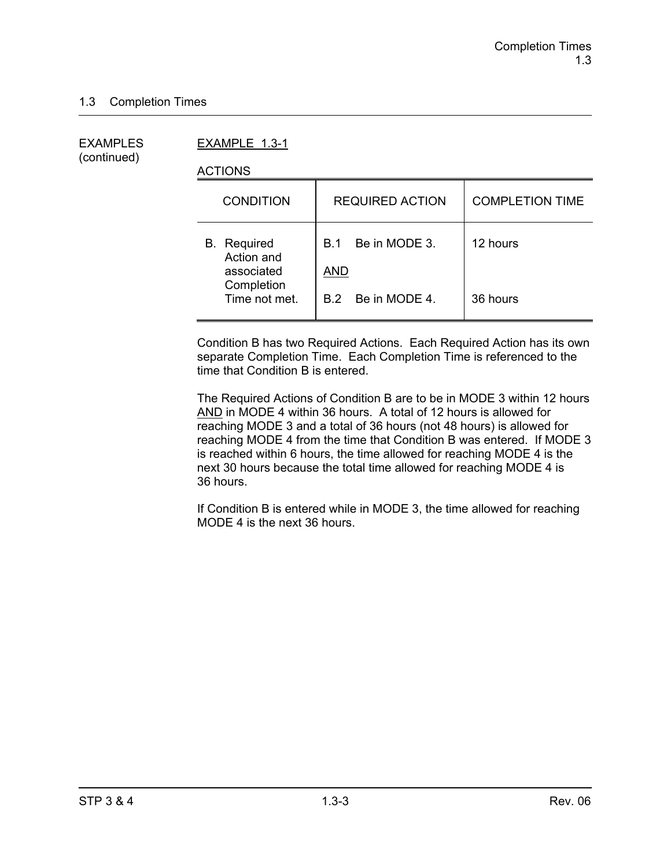(continued)

EXAMPLES EXAMPLE 1.3-1

ACTIONS

| <b>CONDITION</b>                               | <b>REQUIRED ACTION</b>                    | <b>COMPLETION TIME</b> |
|------------------------------------------------|-------------------------------------------|------------------------|
| <b>B.</b> Required<br>Action and<br>associated | Be in MODE 3.<br><b>B.1</b><br><b>AND</b> | 12 hours               |
| Completion<br>Time not met.                    | B.2 Be in MODE 4.                         | 36 hours               |

Condition B has two Required Actions. Each Required Action has its own separate Completion Time. Each Completion Time is referenced to the time that Condition B is entered.

The Required Actions of Condition B are to be in MODE 3 within 12 hours AND in MODE 4 within 36 hours. A total of 12 hours is allowed for reaching MODE 3 and a total of 36 hours (not 48 hours) is allowed for reaching MODE 4 from the time that Condition B was entered. If MODE 3 is reached within 6 hours, the time allowed for reaching MODE 4 is the next 30 hours because the total time allowed for reaching MODE 4 is 36 hours.

If Condition B is entered while in MODE 3, the time allowed for reaching MODE 4 is the next 36 hours.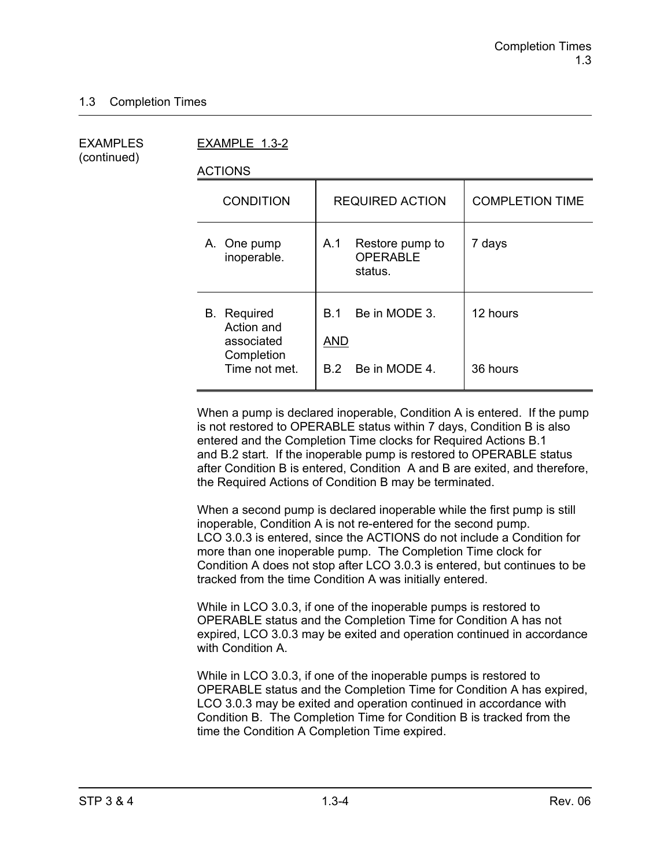(continued)

EXAMPLES EXAMPLE 1.3-2

ACTIONS

| <b>CONDITION</b>                                                              | <b>REQUIRED ACTION</b>                                     | <b>COMPLETION TIME</b> |
|-------------------------------------------------------------------------------|------------------------------------------------------------|------------------------|
| A. One pump<br>inoperable.                                                    | Restore pump to<br>A.1<br><b>OPERABLE</b><br>status.       | 7 days                 |
| <b>B.</b> Required<br>Action and<br>associated<br>Completion<br>Time not met. | Be in MODE 3.<br>B 1<br><b>AND</b><br>Be in MODE 4.<br>B.2 | 12 hours<br>36 hours   |
|                                                                               |                                                            |                        |

When a pump is declared inoperable, Condition A is entered. If the pump is not restored to OPERABLE status within 7 days, Condition B is also entered and the Completion Time clocks for Required Actions B.1 and B.2 start. If the inoperable pump is restored to OPERABLE status after Condition B is entered, Condition A and B are exited, and therefore, the Required Actions of Condition B may be terminated.

When a second pump is declared inoperable while the first pump is still inoperable, Condition A is not re-entered for the second pump. LCO 3.0.3 is entered, since the ACTIONS do not include a Condition for more than one inoperable pump. The Completion Time clock for Condition A does not stop after LCO 3.0.3 is entered, but continues to be tracked from the time Condition A was initially entered.

While in LCO 3.0.3, if one of the inoperable pumps is restored to OPERABLE status and the Completion Time for Condition A has not expired, LCO 3.0.3 may be exited and operation continued in accordance with Condition A.

While in LCO 3.0.3, if one of the inoperable pumps is restored to OPERABLE status and the Completion Time for Condition A has expired, LCO 3.0.3 may be exited and operation continued in accordance with Condition B. The Completion Time for Condition B is tracked from the time the Condition A Completion Time expired.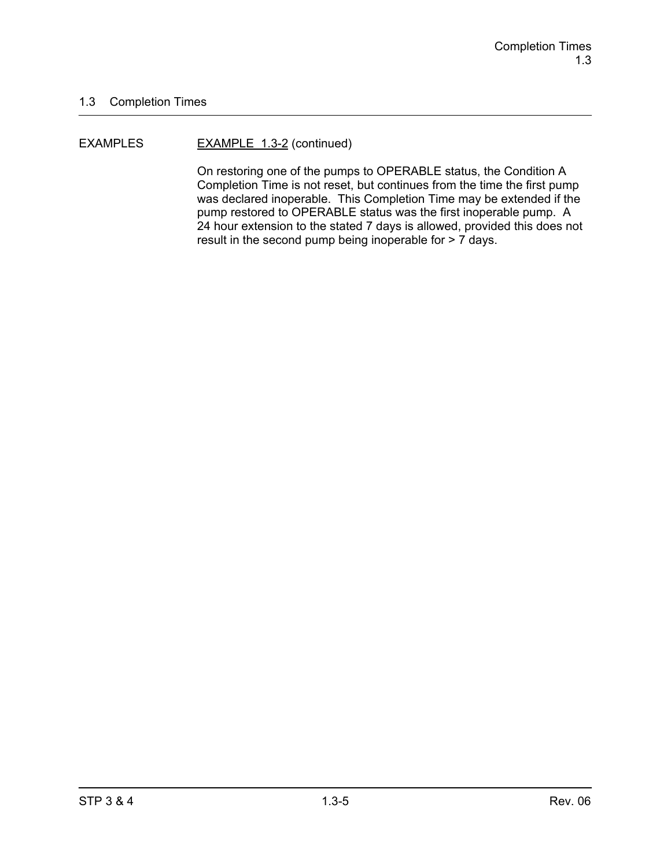#### EXAMPLES EXAMPLE 1.3-2 (continued)

On restoring one of the pumps to OPERABLE status, the Condition A Completion Time is not reset, but continues from the time the first pump was declared inoperable. This Completion Time may be extended if the pump restored to OPERABLE status was the first inoperable pump. A 24 hour extension to the stated 7 days is allowed, provided this does not result in the second pump being inoperable for > 7 days.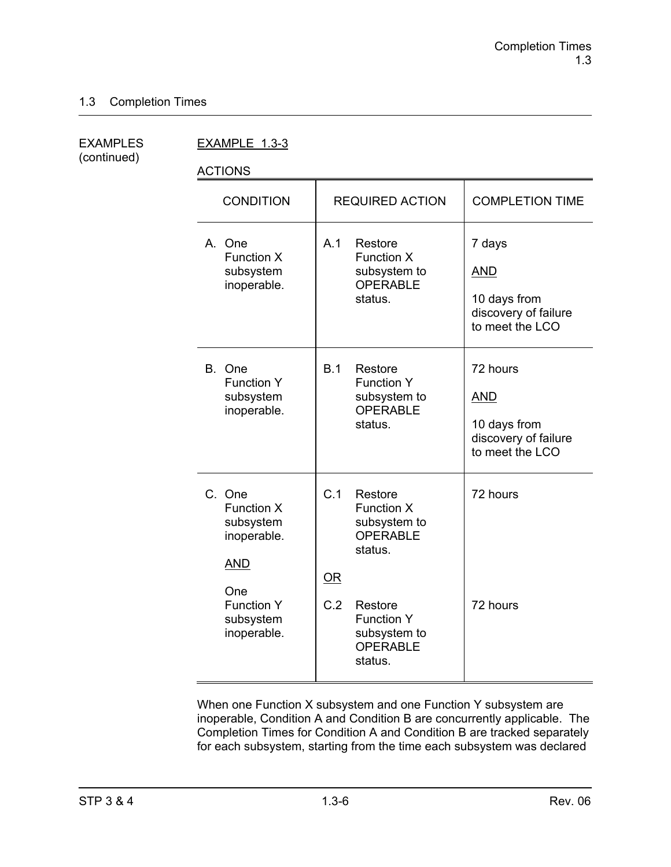(continued)

EXAMPLES EXAMPLE 1.3-3

ACTIONS

| <b>CONDITION</b>                                                                                                              | <b>REQUIRED ACTION</b>                                                                                                                                         | <b>COMPLETION TIME</b>                                                            |
|-------------------------------------------------------------------------------------------------------------------------------|----------------------------------------------------------------------------------------------------------------------------------------------------------------|-----------------------------------------------------------------------------------|
| A. One<br><b>Function X</b><br>subsystem<br>inoperable.                                                                       | A.1<br>Restore<br><b>Function X</b><br>subsystem to<br><b>OPERABLE</b><br>status.                                                                              | 7 days<br><b>AND</b><br>10 days from<br>discovery of failure<br>to meet the LCO   |
| B. One<br><b>Function Y</b><br>subsystem<br>inoperable.                                                                       | B.1<br>Restore<br><b>Function Y</b><br>subsystem to<br><b>OPERABLE</b><br>status.                                                                              | 72 hours<br><b>AND</b><br>10 days from<br>discovery of failure<br>to meet the LCO |
| C. One<br><b>Function X</b><br>subsystem<br>inoperable.<br><b>AND</b><br>One<br><b>Function Y</b><br>subsystem<br>inoperable. | C.1<br>Restore<br>Function X<br>subsystem to<br>OPERABLE<br>status.<br>OR<br>C.2<br>Restore<br><b>Function Y</b><br>subsystem to<br><b>OPERABLE</b><br>status. | 72 hours<br>72 hours                                                              |

When one Function X subsystem and one Function Y subsystem are inoperable, Condition A and Condition B are concurrently applicable. The Completion Times for Condition A and Condition B are tracked separately for each subsystem, starting from the time each subsystem was declared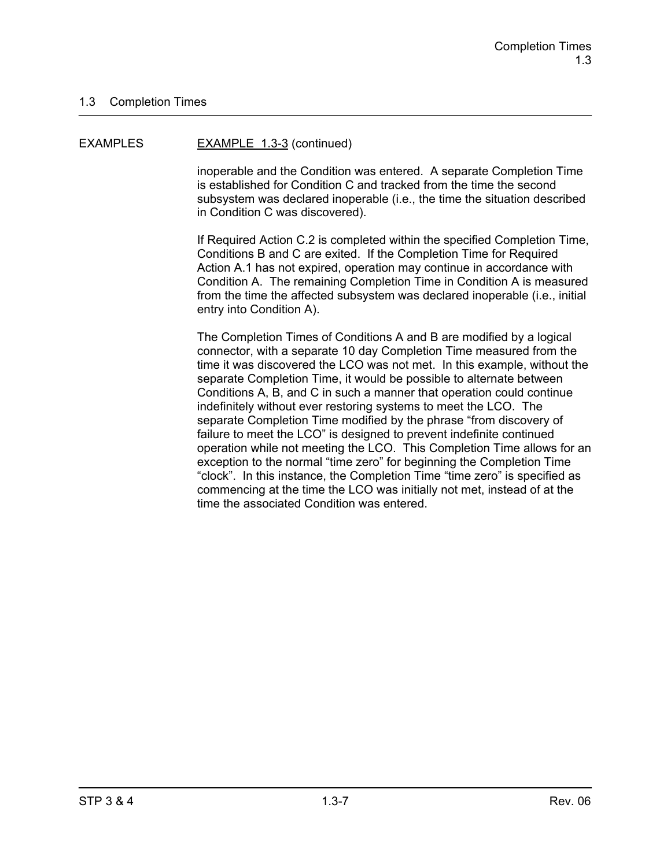#### EXAMPLES EXAMPLE 1.3-3 (continued)

inoperable and the Condition was entered. A separate Completion Time is established for Condition C and tracked from the time the second subsystem was declared inoperable (i.e., the time the situation described in Condition C was discovered).

If Required Action C.2 is completed within the specified Completion Time, Conditions B and C are exited. If the Completion Time for Required Action A.1 has not expired, operation may continue in accordance with Condition A. The remaining Completion Time in Condition A is measured from the time the affected subsystem was declared inoperable (i.e., initial entry into Condition A).

The Completion Times of Conditions A and B are modified by a logical connector, with a separate 10 day Completion Time measured from the time it was discovered the LCO was not met. In this example, without the separate Completion Time, it would be possible to alternate between Conditions A, B, and C in such a manner that operation could continue indefinitely without ever restoring systems to meet the LCO. The separate Completion Time modified by the phrase "from discovery of failure to meet the LCO" is designed to prevent indefinite continued operation while not meeting the LCO. This Completion Time allows for an exception to the normal "time zero" for beginning the Completion Time "clock". In this instance, the Completion Time "time zero" is specified as commencing at the time the LCO was initially not met, instead of at the time the associated Condition was entered.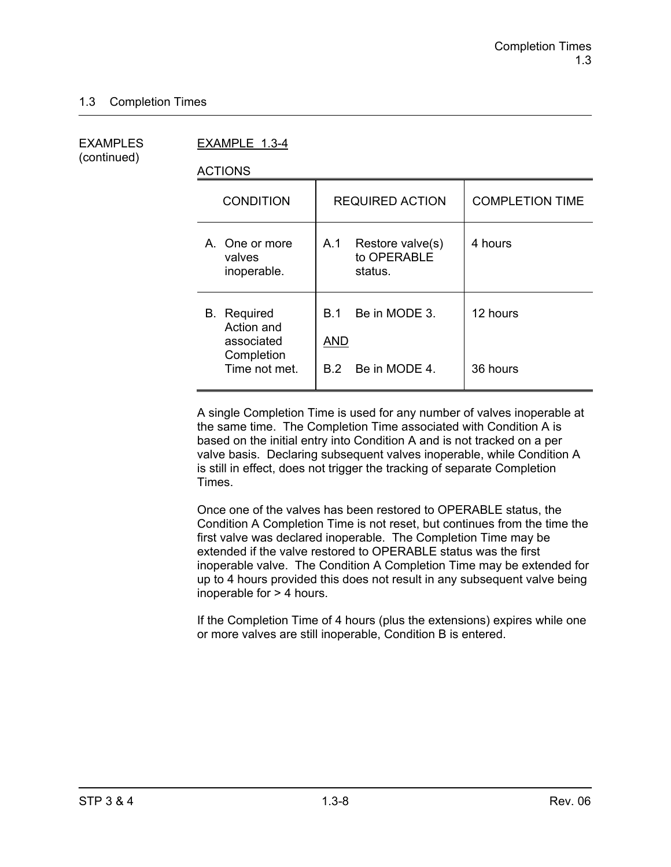(continued)

EXAMPLES EXAMPLE 1.3-4

ACTIONS

| <b>CONDITION</b>                                                              | <b>REQUIRED ACTION</b>                                     | <b>COMPLETION TIME</b> |
|-------------------------------------------------------------------------------|------------------------------------------------------------|------------------------|
| A. One or more<br>valves<br>inoperable.                                       | A.1<br>Restore valve(s)<br>to OPERABLE<br>status.          | 4 hours                |
| <b>B.</b> Required<br>Action and<br>associated<br>Completion<br>Time not met. | Be in MODE 3.<br><b>B</b> 1<br>AND<br>Be in MODE 4.<br>B 2 | 12 hours<br>36 hours   |
|                                                                               |                                                            |                        |

A single Completion Time is used for any number of valves inoperable at the same time. The Completion Time associated with Condition A is based on the initial entry into Condition A and is not tracked on a per valve basis. Declaring subsequent valves inoperable, while Condition A is still in effect, does not trigger the tracking of separate Completion Times.

Once one of the valves has been restored to OPERABLE status, the Condition A Completion Time is not reset, but continues from the time the first valve was declared inoperable. The Completion Time may be extended if the valve restored to OPERABLE status was the first inoperable valve. The Condition A Completion Time may be extended for up to 4 hours provided this does not result in any subsequent valve being inoperable for > 4 hours.

If the Completion Time of 4 hours (plus the extensions) expires while one or more valves are still inoperable, Condition B is entered.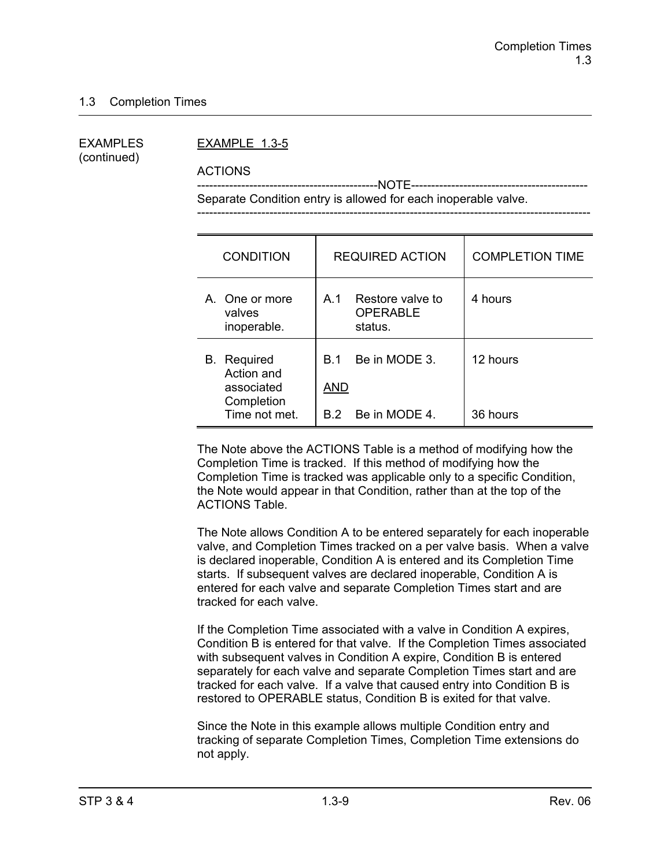(continued)

#### EXAMPLES EXAMPLE 1.3-5

ACTIONS

 ---------------------------------------------NOTE-------------------------------------------- Separate Condition entry is allowed for each inoperable valve.

| <b>CONDITION</b>                                                              | <b>REQUIRED ACTION</b>                                         | <b>COMPLETION TIME</b> |
|-------------------------------------------------------------------------------|----------------------------------------------------------------|------------------------|
| A. One or more<br>valves<br>inoperable.                                       | Restore valve to<br>A.1<br><b>OPERABLE</b><br>status.          | 4 hours                |
| <b>B.</b> Required<br>Action and<br>associated<br>Completion<br>Time not met. | Be in MODE 3.<br><b>B</b> 1<br><b>AND</b><br>B.2 Be in MODE 4. | 12 hours<br>36 hours   |

The Note above the ACTIONS Table is a method of modifying how the Completion Time is tracked. If this method of modifying how the Completion Time is tracked was applicable only to a specific Condition, the Note would appear in that Condition, rather than at the top of the ACTIONS Table.

The Note allows Condition A to be entered separately for each inoperable valve, and Completion Times tracked on a per valve basis. When a valve is declared inoperable, Condition A is entered and its Completion Time starts. If subsequent valves are declared inoperable, Condition A is entered for each valve and separate Completion Times start and are tracked for each valve.

If the Completion Time associated with a valve in Condition A expires, Condition B is entered for that valve. If the Completion Times associated with subsequent valves in Condition A expire, Condition B is entered separately for each valve and separate Completion Times start and are tracked for each valve. If a valve that caused entry into Condition B is restored to OPERABLE status, Condition B is exited for that valve.

Since the Note in this example allows multiple Condition entry and tracking of separate Completion Times, Completion Time extensions do not apply.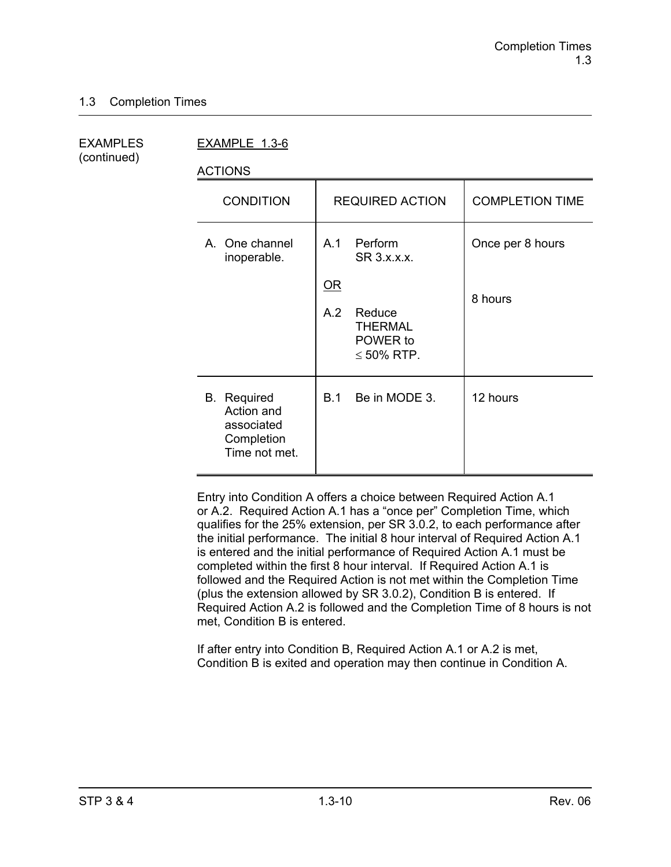(continued)

EXAMPLES EXAMPLE 1.3-6

ACTIONS

| ,,,,,,,,                                                                      |                                                                                                                               |                             |
|-------------------------------------------------------------------------------|-------------------------------------------------------------------------------------------------------------------------------|-----------------------------|
| <b>CONDITION</b>                                                              | <b>REQUIRED ACTION</b>                                                                                                        | <b>COMPLETION TIME</b>      |
| A. One channel<br>inoperable.                                                 | A.1<br>Perform<br>SR 3.x.x.x.<br>$\underline{\mathsf{OR}}$<br>A.2<br>Reduce<br><b>THERMAL</b><br>POWER to<br>$\leq 50\%$ RTP. | Once per 8 hours<br>8 hours |
| <b>B.</b> Required<br>Action and<br>associated<br>Completion<br>Time not met. | Be in MODE 3.<br>B.1                                                                                                          | 12 hours                    |

Entry into Condition A offers a choice between Required Action A.1 or A.2. Required Action A.1 has a "once per" Completion Time, which qualifies for the 25% extension, per SR 3.0.2, to each performance after the initial performance. The initial 8 hour interval of Required Action A.1 is entered and the initial performance of Required Action A.1 must be completed within the first 8 hour interval. If Required Action A.1 is followed and the Required Action is not met within the Completion Time (plus the extension allowed by SR 3.0.2), Condition B is entered. If Required Action A.2 is followed and the Completion Time of 8 hours is not met, Condition B is entered.

If after entry into Condition B, Required Action A.1 or A.2 is met, Condition B is exited and operation may then continue in Condition A.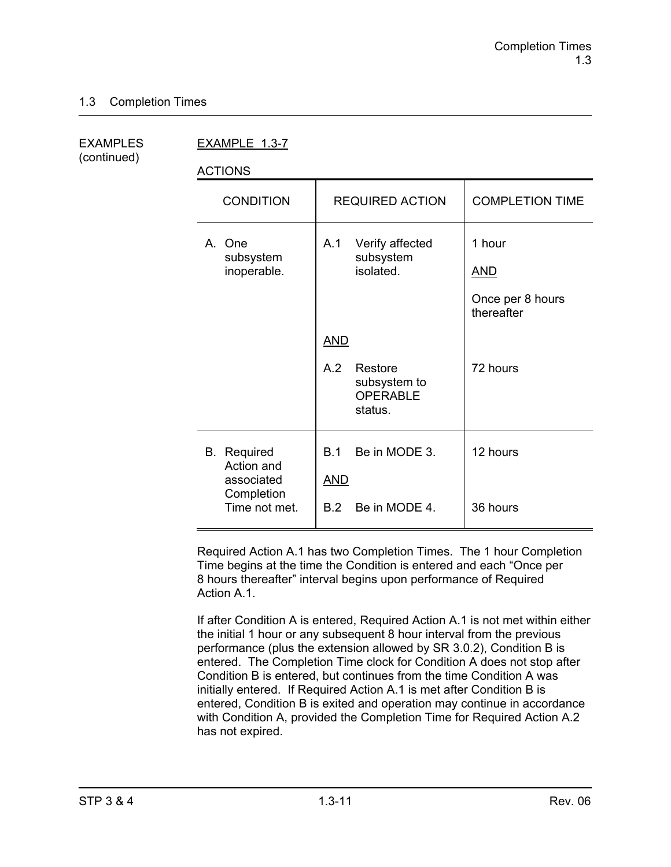| <b>EXAMPLES</b> |  |
|-----------------|--|
| (continued)     |  |

EXAMPLE 1.3-7

ACTIONS

| <b>CONDITION</b>                               | <b>REQUIRED ACTION</b>                                       | <b>COMPLETION TIME</b>                                 |
|------------------------------------------------|--------------------------------------------------------------|--------------------------------------------------------|
| A. One<br>subsystem<br>inoperable.             | Verify affected<br>A.1<br>subsystem<br>isolated.             | 1 hour<br><b>AND</b><br>Once per 8 hours<br>thereafter |
|                                                | <b>AND</b>                                                   |                                                        |
|                                                | A.2<br>Restore<br>subsystem to<br><b>OPERABLE</b><br>status. | 72 hours                                               |
| <b>B.</b> Required<br>Action and<br>associated | Be in MODE 3.<br>B.1<br><u>AND</u>                           | 12 hours                                               |
| Completion<br>Time not met.                    | B.2<br>Be in MODE 4.                                         | 36 hours                                               |

Required Action A.1 has two Completion Times. The 1 hour Completion Time begins at the time the Condition is entered and each "Once per 8 hours thereafter" interval begins upon performance of Required Action A<sub>1</sub>

If after Condition A is entered, Required Action A.1 is not met within either the initial 1 hour or any subsequent 8 hour interval from the previous performance (plus the extension allowed by SR 3.0.2), Condition B is entered. The Completion Time clock for Condition A does not stop after Condition B is entered, but continues from the time Condition A was initially entered. If Required Action A.1 is met after Condition B is entered, Condition B is exited and operation may continue in accordance with Condition A, provided the Completion Time for Required Action A.2 has not expired.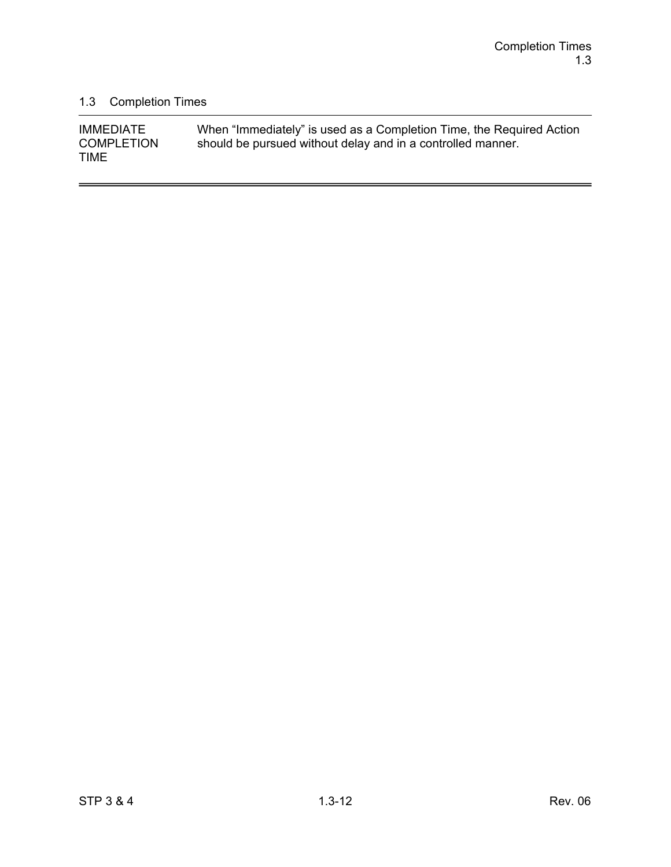-

### 1.3 Completion Times

| <b>IMMEDIATE</b>  | When "Immediately" is used as a Completion Time, the Required Action |
|-------------------|----------------------------------------------------------------------|
| <b>COMPLETION</b> | should be pursued without delay and in a controlled manner.          |
| <b>TIME</b>       |                                                                      |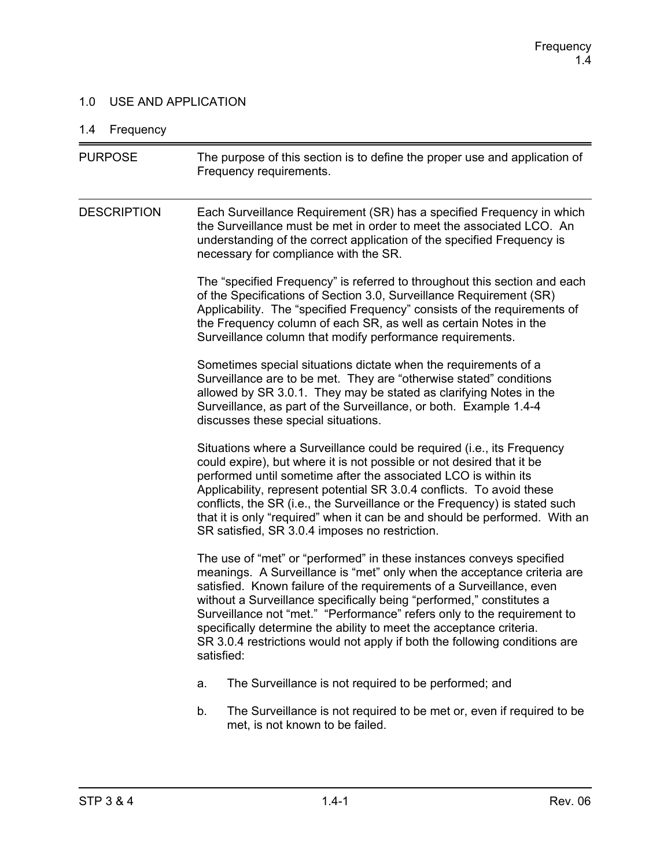### 1.0 USE AND APPLICATION

### 1.4 Frequency

| <b>PURPOSE</b>     | The purpose of this section is to define the proper use and application of<br>Frequency requirements.                                                                                                                                                                                                                                                                                                                                                                                                                                         |  |  |
|--------------------|-----------------------------------------------------------------------------------------------------------------------------------------------------------------------------------------------------------------------------------------------------------------------------------------------------------------------------------------------------------------------------------------------------------------------------------------------------------------------------------------------------------------------------------------------|--|--|
| <b>DESCRIPTION</b> | Each Surveillance Requirement (SR) has a specified Frequency in which<br>the Surveillance must be met in order to meet the associated LCO. An<br>understanding of the correct application of the specified Frequency is<br>necessary for compliance with the SR.                                                                                                                                                                                                                                                                              |  |  |
|                    | The "specified Frequency" is referred to throughout this section and each<br>of the Specifications of Section 3.0, Surveillance Requirement (SR)<br>Applicability. The "specified Frequency" consists of the requirements of<br>the Frequency column of each SR, as well as certain Notes in the<br>Surveillance column that modify performance requirements.                                                                                                                                                                                 |  |  |
|                    | Sometimes special situations dictate when the requirements of a<br>Surveillance are to be met. They are "otherwise stated" conditions<br>allowed by SR 3.0.1. They may be stated as clarifying Notes in the<br>Surveillance, as part of the Surveillance, or both. Example 1.4-4<br>discusses these special situations.                                                                                                                                                                                                                       |  |  |
|                    | Situations where a Surveillance could be required (i.e., its Frequency<br>could expire), but where it is not possible or not desired that it be<br>performed until sometime after the associated LCO is within its<br>Applicability, represent potential SR 3.0.4 conflicts. To avoid these<br>conflicts, the SR (i.e., the Surveillance or the Frequency) is stated such<br>that it is only "required" when it can be and should be performed. With an<br>SR satisfied, SR 3.0.4 imposes no restriction.                                     |  |  |
|                    | The use of "met" or "performed" in these instances conveys specified<br>meanings. A Surveillance is "met" only when the acceptance criteria are<br>satisfied. Known failure of the requirements of a Surveillance, even<br>without a Surveillance specifically being "performed," constitutes a<br>Surveillance not "met." "Performance" refers only to the requirement to<br>specifically determine the ability to meet the acceptance criteria.<br>SR 3.0.4 restrictions would not apply if both the following conditions are<br>satisfied: |  |  |
|                    | The Surveillance is not required to be performed; and<br>a.                                                                                                                                                                                                                                                                                                                                                                                                                                                                                   |  |  |
|                    | The Surveillance is not required to be met or, even if required to be<br>b.<br>met, is not known to be failed.                                                                                                                                                                                                                                                                                                                                                                                                                                |  |  |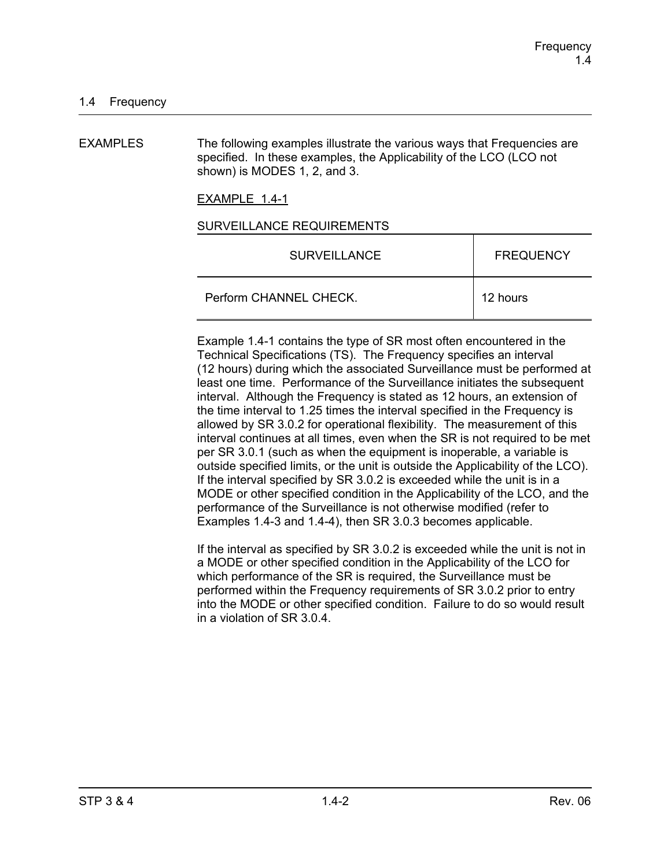EXAMPLES The following examples illustrate the various ways that Frequencies are specified. In these examples, the Applicability of the LCO (LCO not shown) is MODES 1, 2, and 3.

EXAMPLE 1.4-1

#### SURVEILLANCE REQUIREMENTS

| <b>SURVEILLANCE</b>    | <b>FREQUENCY</b> |
|------------------------|------------------|
| Perform CHANNEL CHECK. | 12 hours         |

Example 1.4-1 contains the type of SR most often encountered in the Technical Specifications (TS). The Frequency specifies an interval (12 hours) during which the associated Surveillance must be performed at least one time. Performance of the Surveillance initiates the subsequent interval. Although the Frequency is stated as 12 hours, an extension of the time interval to 1.25 times the interval specified in the Frequency is allowed by SR 3.0.2 for operational flexibility. The measurement of this interval continues at all times, even when the SR is not required to be met per SR 3.0.1 (such as when the equipment is inoperable, a variable is outside specified limits, or the unit is outside the Applicability of the LCO). If the interval specified by SR 3.0.2 is exceeded while the unit is in a MODE or other specified condition in the Applicability of the LCO, and the performance of the Surveillance is not otherwise modified (refer to Examples 1.4-3 and 1.4-4), then SR 3.0.3 becomes applicable.

If the interval as specified by SR 3.0.2 is exceeded while the unit is not in a MODE or other specified condition in the Applicability of the LCO for which performance of the SR is required, the Surveillance must be performed within the Frequency requirements of SR 3.0.2 prior to entry into the MODE or other specified condition. Failure to do so would result in a violation of SR 3.0.4.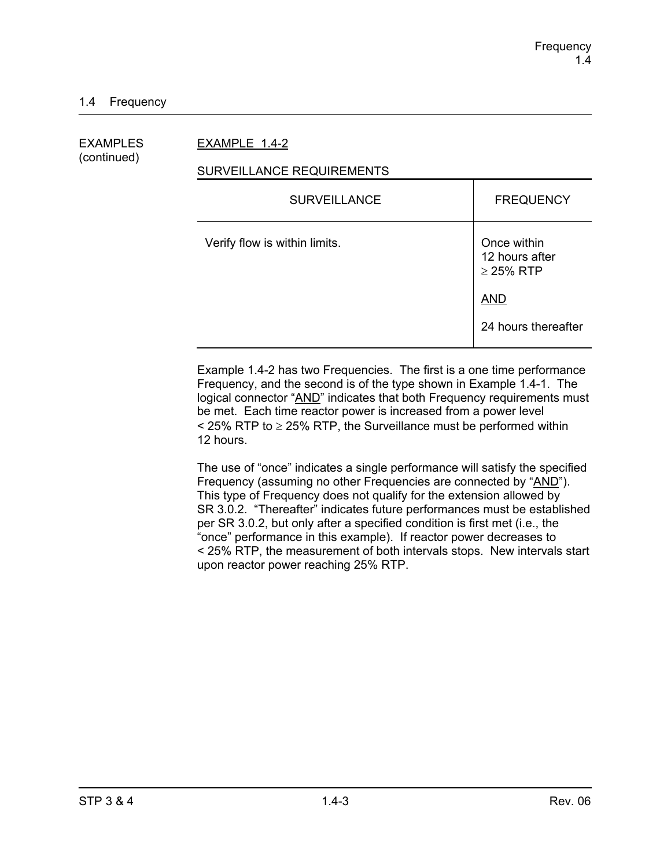EXAMPLES EXAMPLE 1.4-2

# (continued)

#### SURVEILLANCE REQUIREMENTS

| <b>SURVEILLANCE</b>           | <b>FREQUENCY</b>                                |
|-------------------------------|-------------------------------------------------|
| Verify flow is within limits. | Once within<br>12 hours after<br>$\geq$ 25% RTP |
|                               | <b>AND</b>                                      |
|                               | 24 hours thereafter                             |

Example 1.4-2 has two Frequencies. The first is a one time performance Frequency, and the second is of the type shown in Example 1.4-1. The logical connector "AND" indicates that both Frequency requirements must be met. Each time reactor power is increased from a power level  $\le$  25% RTP to  $\ge$  25% RTP, the Surveillance must be performed within 12 hours.

The use of "once" indicates a single performance will satisfy the specified Frequency (assuming no other Frequencies are connected by "AND"). This type of Frequency does not qualify for the extension allowed by SR 3.0.2. "Thereafter" indicates future performances must be established per SR 3.0.2, but only after a specified condition is first met (i.e., the "once" performance in this example). If reactor power decreases to < 25% RTP, the measurement of both intervals stops. New intervals start upon reactor power reaching 25% RTP.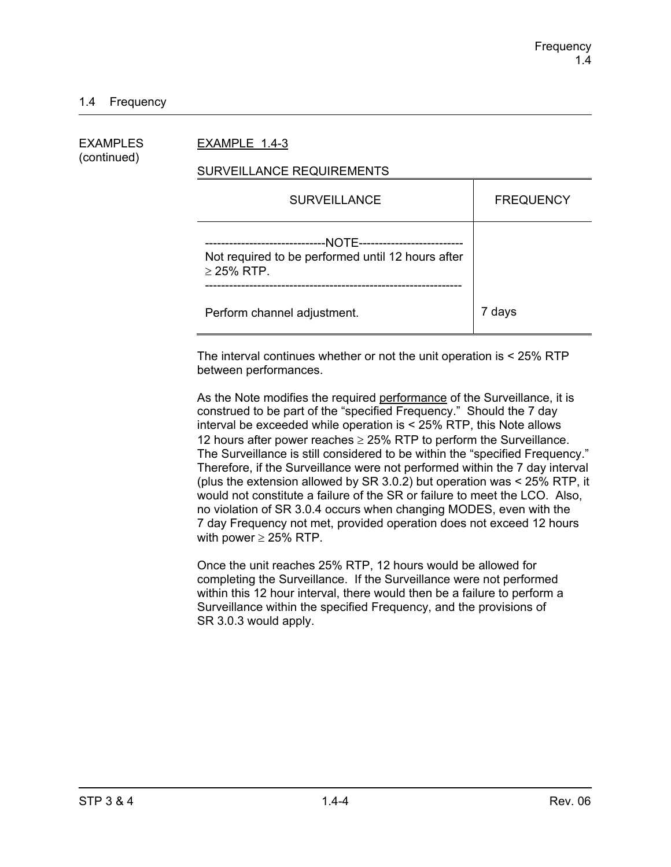#### 1.4 Frequency

| EXAMPLES<br>(continued) | EXAMPLE 1.4-3                                                                                                                       |                  |  |
|-------------------------|-------------------------------------------------------------------------------------------------------------------------------------|------------------|--|
|                         | SURVEILLANCE REQUIREMENTS                                                                                                           |                  |  |
|                         | <b>SURVEILLANCE</b>                                                                                                                 | <b>FREQUENCY</b> |  |
|                         | --NOTE-----------------------<br>--------------------------<br>Not required to be performed until 12 hours after<br>$\geq$ 25% RTP. |                  |  |
|                         | Perform channel adjustment.                                                                                                         | 7 days           |  |

The interval continues whether or not the unit operation is < 25% RTP between performances.

As the Note modifies the required performance of the Surveillance, it is construed to be part of the "specified Frequency." Should the 7 day interval be exceeded while operation is < 25% RTP, this Note allows 12 hours after power reaches  $\geq$  25% RTP to perform the Surveillance. The Surveillance is still considered to be within the "specified Frequency." Therefore, if the Surveillance were not performed within the 7 day interval (plus the extension allowed by SR 3.0.2) but operation was < 25% RTP, it would not constitute a failure of the SR or failure to meet the LCO. Also, no violation of SR 3.0.4 occurs when changing MODES, even with the 7 day Frequency not met, provided operation does not exceed 12 hours with power  $\geq$  25% RTP.

Once the unit reaches 25% RTP, 12 hours would be allowed for completing the Surveillance. If the Surveillance were not performed within this 12 hour interval, there would then be a failure to perform a Surveillance within the specified Frequency, and the provisions of SR 3.0.3 would apply.